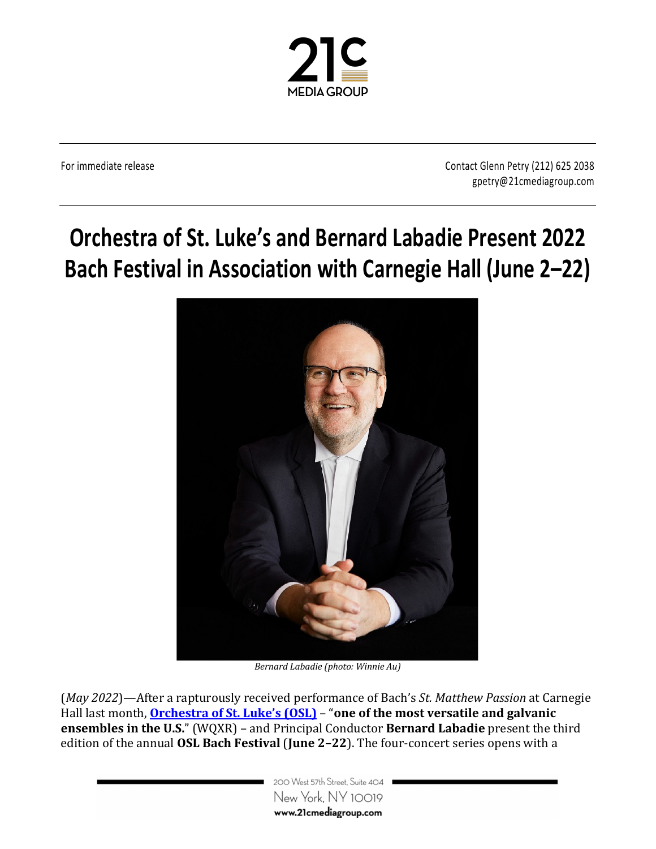

For immediate release Contact Glenn Petry (212) 625 2038 gpetry@21cmediagroup.com

# **Orchestra of St. Luke's and Bernard Labadie Present 2022 Bach Festival in Association with Carnegie Hall (June 2–22)**



*Bernard Labadie (photo: Winnie Au)*

(*May 2022*)—After a rapturously received performance of Bach's *St. Matthew Passion* at Carnegie Hall last month, **Orchestra of St. Luke's (OSL)** – "**one of the most versatile and galvanic ensembles in the U.S.**" (WQXR) – and Principal Conductor **Bernard Labadie** present the third edition of the annual OSL Bach Festival (June 2-22). The four-concert series opens with a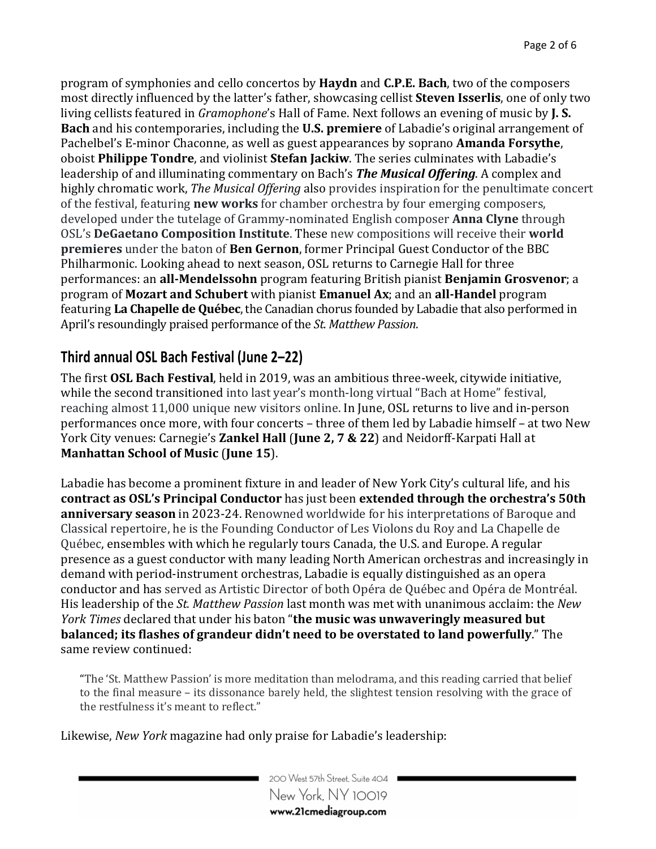program of symphonies and cello concertos by **Haydn** and **C.P.E. Bach**, two of the composers most directly influenced by the latter's father, showcasing cellist **Steven Isserlis**, one of only two living cellists featured in *Gramophone's* Hall of Fame. Next follows an evening of music by **J. S. Bach** and his contemporaries, including the **U.S. premiere** of Labadie's original arrangement of Pachelbel's E-minor Chaconne, as well as guest appearances by soprano **Amanda Forsythe**, oboist Philippe Tondre, and violinist Stefan Jackiw. The series culminates with Labadie's leadership of and illuminating commentary on Bach's **The Musical Offering**. A complex and highly chromatic work, *The Musical Offering* also provides inspiration for the penultimate concert of the festival, featuring **new works** for chamber orchestra by four emerging composers, developed under the tutelage of Grammy-nominated English composer **Anna Clyne** through OSL's **DeGaetano Composition Institute**. These new compositions will receive their **world premieres** under the baton of **Ben Gernon**, former Principal Guest Conductor of the BBC Philharmonic. Looking ahead to next season, OSL returns to Carnegie Hall for three performances: an **all-Mendelssohn** program featuring British pianist **Benjamin Grosvenor**; a program of Mozart and Schubert with pianist **Emanuel Ax**; and an all-Handel program featuring **La Chapelle de Québec**, the Canadian chorus founded by Labadie that also performed in April's resoundingly praised performance of the *St. Matthew Passion*.

## **Third annual OSL Bach Festival (June 2–22)**

The first **OSL Bach Festival**, held in 2019, was an ambitious three-week, citywide initiative, while the second transitioned into last year's month-long virtual "Bach at Home" festival, reaching almost 11,000 unique new visitors online. In June, OSL returns to live and in-person performances once more, with four concerts – three of them led by Labadie himself – at two New York City venues: Carnegie's **Zankel Hall (June 2, 7 & 22)** and Neidorff-Karpati Hall at **Manhattan School of Music** (**June 15**).

Labadie has become a prominent fixture in and leader of New York City's cultural life, and his **contract as OSL's Principal Conductor** has just been **extended through the orchestra's 50th anniversary season** in 2023-24. Renowned worldwide for his interpretations of Baroque and Classical repertoire, he is the Founding Conductor of Les Violons du Roy and La Chapelle de Québec, ensembles with which he regularly tours Canada, the U.S. and Europe. A regular presence as a guest conductor with many leading North American orchestras and increasingly in demand with period-instrument orchestras, Labadie is equally distinguished as an opera conductor and has served as Artistic Director of both Opéra de Québec and Opéra de Montréal. His leadership of the *St. Matthew Passion* last month was met with unanimous acclaim: the *New York Times* declared that under his baton "**the music was unwaveringly measured but balanced; its flashes of grandeur didn't need to be overstated to land powerfully**." The same review continued:

"The 'St. Matthew Passion' is more meditation than melodrama, and this reading carried that belief to the final measure – its dissonance barely held, the slightest tension resolving with the grace of the restfulness it's meant to reflect."

Likewise, *New York* magazine had only praise for Labadie's leadership: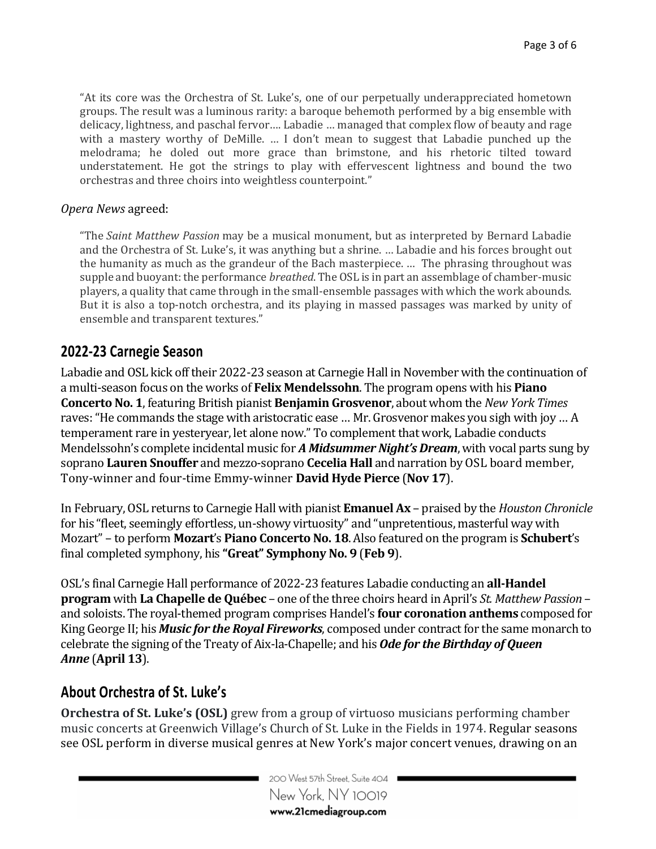"At its core was the Orchestra of St. Luke's, one of our perpetually underappreciated hometown groups. The result was a luminous rarity: a baroque behemoth performed by a big ensemble with delicacy, lightness, and paschal fervor.... Labadie ... managed that complex flow of beauty and rage with a mastery worthy of DeMille.  $\dots$  I don't mean to suggest that Labadie punched up the melodrama; he doled out more grace than brimstone, and his rhetoric tilted toward understatement. He got the strings to play with effervescent lightness and bound the two orchestras and three choirs into weightless counterpoint."

#### *Opera News* agreed:

"The *Saint Matthew Passion* may be a musical monument, but as interpreted by Bernard Labadie and the Orchestra of St. Luke's, it was anything but a shrine. ... Labadie and his forces brought out the humanity as much as the grandeur of the Bach masterpiece. ... The phrasing throughout was supple and buoyant: the performance *breathed*. The OSL is in part an assemblage of chamber-music players, a quality that came through in the small-ensemble passages with which the work abounds. But it is also a top-notch orchestra, and its playing in massed passages was marked by unity of ensemble and transparent textures."

### **2022-23 Carnegie Season**

Labadie and OSL kick off their 2022-23 season at Carnegie Hall in November with the continuation of a multi-season focus on the works of **Felix Mendelssohn**. The program opens with his **Piano Concerto No. 1**, featuring British pianist **Benjamin Grosvenor**, about whom the *New York Times* raves: "He commands the stage with aristocratic ease ... Mr. Grosvenor makes you sigh with joy ... A temperament rare in yesteryear, let alone now." To complement that work, Labadie conducts Mendelssohn's complete incidental music for *A Midsummer Night's Dream*, with vocal parts sung by soprano **Lauren Snouffer** and mezzo-soprano **Cecelia Hall** and narration by OSL board member, Tony-winner and four-time Emmy-winner **David Hyde Pierce** (**Nov 17**).

In February, OSL returns to Carnegie Hall with pianist **Emanuel Ax** – praised by the *Houston Chronicle* for his "fleet, seemingly effortless, un-showy virtuosity" and "unpretentious, masterful way with Mozart" – to perform **Mozart's Piano Concerto No. 18**. Also featured on the program is **Schubert's** final completed symphony, his "Great" Symphony No. 9 (Feb 9).

OSL's final Carnegie Hall performance of 2022-23 features Labadie conducting an all-Handel **program** with **La Chapelle de Québec** – one of the three choirs heard in April's *St. Matthew Passion* – and soloists. The royal-themed program comprises Handel's **four coronation anthems** composed for King George II; his **Music for the Royal Fireworks**, composed under contract for the same monarch to celebrate the signing of the Treaty of Aix-la-Chapelle; and his *Ode for the Birthday of Queen Anne* (**April 13**).

#### **About Orchestra of St. Luke's**

**Orchestra of St. Luke's (OSL)** grew from a group of virtuoso musicians performing chamber music concerts at Greenwich Village's Church of St. Luke in the Fields in 1974. Regular seasons see OSL perform in diverse musical genres at New York's major concert venues, drawing on an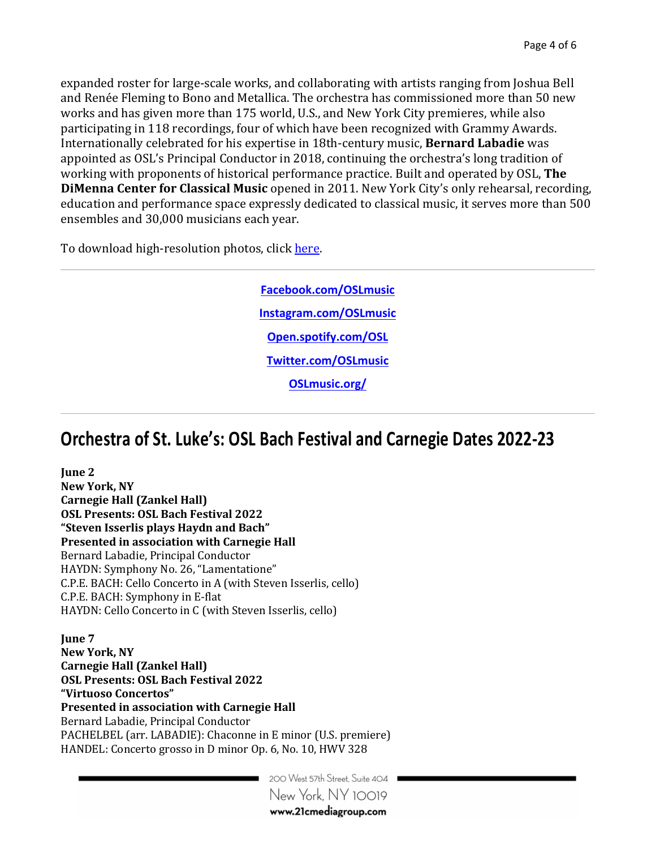expanded roster for large-scale works, and collaborating with artists ranging from Joshua Bell and Renée Fleming to Bono and Metallica. The orchestra has commissioned more than 50 new works and has given more than 175 world, U.S., and New York City premieres, while also participating in 118 recordings, four of which have been recognized with Grammy Awards. Internationally celebrated for his expertise in 18th-century music, **Bernard Labadie** was appointed as OSL's Principal Conductor in 2018, continuing the orchestra's long tradition of working with proponents of historical performance practice. Built and operated by OSL, **The DiMenna Center for Classical Music** opened in 2011. New York City's only rehearsal, recording, education and performance space expressly dedicated to classical music, it serves more than 500 ensembles and 30,000 musicians each year.

To download high-resolution photos, click here.

**Facebook.com/OSLmusic Instagram.com/OSLmusic Open.spotify.com/OSL Twitter.com/OSLmusic OSLmusic.org/**

# **Orchestra of St. Luke's: OSL Bach Festival and Carnegie Dates 2022-23**

**June 2 New York, NY Carnegie Hall (Zankel Hall) OSL Presents: OSL Bach Festival 2022 "Steven Isserlis plays Haydn and Bach" Presented in association with Carnegie Hall** Bernard Labadie, Principal Conductor HAYDN: Symphony No. 26, "Lamentatione" C.P.E. BACH: Cello Concerto in A (with Steven Isserlis, cello) C.P.E. BACH: Symphony in E-flat HAYDN: Cello Concerto in C (with Steven Isserlis, cello)

**June 7 New York, NY Carnegie Hall (Zankel Hall) OSL Presents: OSL Bach Festival 2022 "Virtuoso Concertos" Presented in association with Carnegie Hall** Bernard Labadie, Principal Conductor PACHELBEL (arr. LABADIE): Chaconne in E minor (U.S. premiere) HANDEL: Concerto grosso in D minor Op. 6, No. 10, HWV 328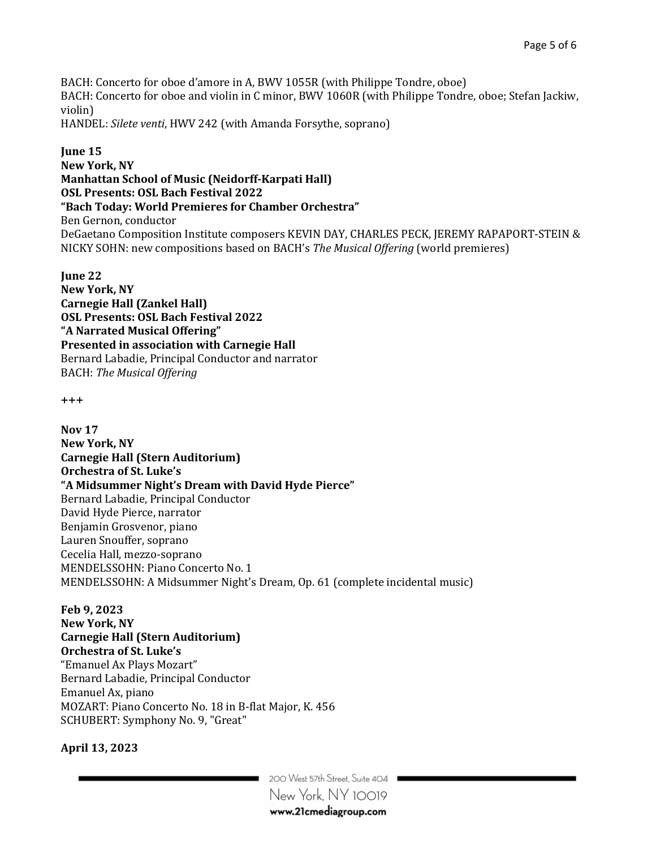BACH: Concerto for oboe d'amore in A, BWV 1055R (with Philippe Tondre, oboe) BACH: Concerto for oboe and violin in C minor, BWV 1060R (with Philippe Tondre, oboe; Stefan Jackiw, violin) HANDEL: *Silete venti*, HWV 242 (with Amanda Forsythe, soprano)

#### **June 15**

**New York, NY Manhattan School of Music (Neidorff-Karpati Hall) OSL Presents: OSL Bach Festival 2022 "Bach Today: World Premieres for Chamber Orchestra"** Ben Gernon, conductor DeGaetano Composition Institute composers KEVIN DAY, CHARLES PECK, JEREMY RAPAPORT-STEIN & NICKY SOHN: new compositions based on BACH's *The Musical Offering* (world premieres)

**June 22**

**New York, NY Carnegie Hall (Zankel Hall) OSL Presents: OSL Bach Festival 2022 "A Narrated Musical Offering" Presented in association with Carnegie Hall** Bernard Labadie, Principal Conductor and narrator BACH: *The Musical Offering*

+++

**Nov 17 New York, NY Carnegie Hall (Stern Auditorium) Orchestra of St. Luke's "A Midsummer Night's Dream with David Hyde Pierce"** Bernard Labadie, Principal Conductor David Hyde Pierce, narrator Benjamin Grosvenor, piano Lauren Snouffer, soprano Cecelia Hall, mezzo-soprano MENDELSSOHN: Piano Concerto No. 1 MENDELSSOHN: A Midsummer Night's Dream, Op. 61 (complete incidental music)

**Feb 9, 2023**

**New York, NY Carnegie Hall (Stern Auditorium) Orchestra of St. Luke's** "Emanuel Ax Plays Mozart" Bernard Labadie, Principal Conductor Emanuel Ax, piano MOZART: Piano Concerto No. 18 in B-flat Major, K. 456 SCHUBERT: Symphony No. 9, "Great"

**April 13, 2023**